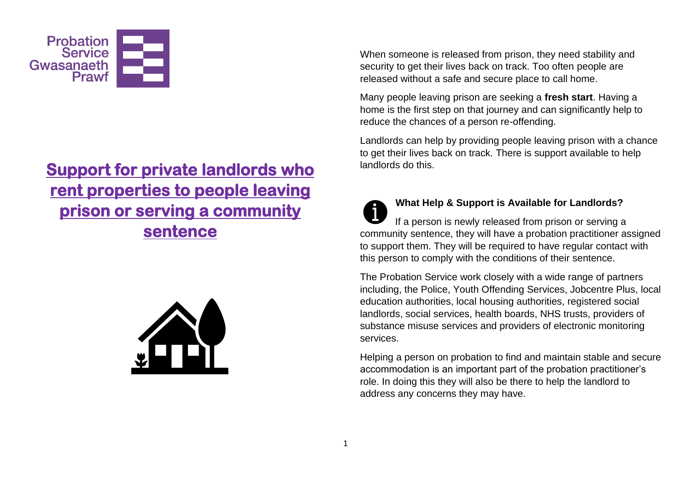

# **Support for private landlords who rent properties to people leaving prison or serving a community sentence**



When someone is released from prison, they need stability and security to get their lives back on track. Too often people are released without a safe and secure place to call home.

Many people leaving prison are seeking a **fresh start**. Having a home is the first step on that journey and can significantly help to reduce the chances of a person re-offending.

Landlords can help by providing people leaving prison with a chance to get their lives back on track. There is support available to help landlords do this.

### **What Help & Support is Available for Landlords?**  If a person is newly released from prison or serving a community sentence, they will have a probation practitioner assigned to support them. They will be required to have regular contact with this person to comply with the conditions of their sentence.

The Probation Service work closely with a wide range of partners including, the Police, Youth Offending Services, Jobcentre Plus, local education authorities, local housing authorities, registered social landlords, social services, health boards, NHS trusts, providers of substance misuse services and providers of electronic monitoring services.

Helping a person on probation to find and maintain stable and secure accommodation is an important part of the probation practitioner's role. In doing this they will also be there to help the landlord to address any concerns they may have.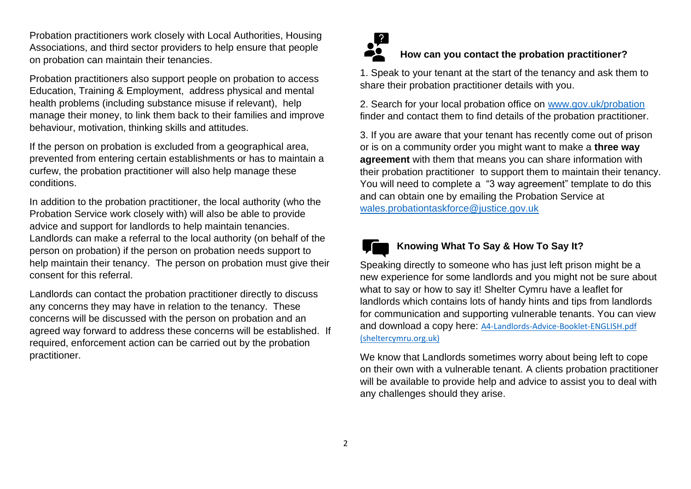Probation practitioners work closely with Local Authorities, Housing Associations, and third sector providers to help ensure that people on probation can maintain their tenancies.

Probation practitioners also support people on probation to access Education, Training & Employment, address physical and mental health problems (including substance misuse if relevant), help manage their money, to link them back to their families and improve behaviour, motivation, thinking skills and attitudes.

If the person on probation is excluded from a geographical area, prevented from entering certain establishments or has to maintain a curfew, the probation practitioner will also help manage these conditions.

In addition to the probation practitioner, the local authority (who the Probation Service work closely with) will also be able to provide advice and support for landlords to help maintain tenancies. Landlords can make a referral to the local authority (on behalf of the person on probation) if the person on probation needs support to help maintain their tenancy. The person on probation must give their consent for this referral.

Landlords can contact the probation practitioner directly to discuss any concerns they may have in relation to the tenancy. These concerns will be discussed with the person on probation and an agreed way forward to address these concerns will be established. If required, enforcement action can be carried out by the probation practitioner.



### **How can you contact the probation practitioner?**

1. Speak to your tenant at the start of the tenancy and ask them to share their probation practitioner details with you.

2. Search for your local probation office on [www.gov.uk/probation](http://www.gov.uk/probation) finder and contact them to find details of the probation practitioner.

3. If you are aware that your tenant has recently come out of prison or is on a community order you might want to make a **three way agreement** with them that means you can share information with their probation practitioner to support them to maintain their tenancy. You will need to complete a "3 way agreement" template to do this and can obtain one by emailing the Probation Service at [wales.probationtaskforce@justice.gov.uk](mailto:wales.probationtaskforce@justice.gov.uk)



#### **Knowing What To Say & How To Say It?**

Speaking directly to someone who has just left prison might be a new experience for some landlords and you might not be sure about what to say or how to say it! Shelter Cymru have a leaflet for landlords which contains lots of handy hints and tips from landlords for communication and supporting vulnerable tenants. You can view and download a copy here: [A4-Landlords-Advice-Booklet-ENGLISH.pdf](https://sheltercymru.org.uk/wp-content/uploads/2015/02/A4-Landlords-Advice-Booklet-ENGLISH.pdf)  [\(sheltercymru.org.uk\)](https://sheltercymru.org.uk/wp-content/uploads/2015/02/A4-Landlords-Advice-Booklet-ENGLISH.pdf)

We know that Landlords sometimes worry about being left to cope on their own with a vulnerable tenant. A clients probation practitioner will be available to provide help and advice to assist you to deal with any challenges should they arise.